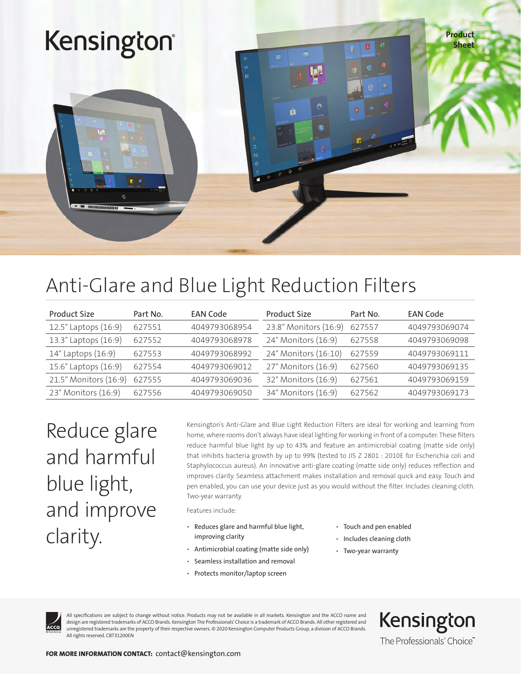

### Anti-Glare and Blue Light Reduction Filters

| Product Size          | Part No. | <b>EAN Code</b> | Product Size          | Part No. | <b>EAN Code</b> |
|-----------------------|----------|-----------------|-----------------------|----------|-----------------|
| 12.5" Laptops (16:9)  | 627551   | 4049793068954   | 23.8" Monitors (16:9) | 627557   | 4049793069074   |
| 13.3" Laptops (16:9)  | 627552   | 4049793068978   | 24" Monitors (16:9)   | 627558   | 4049793069098   |
| 14" Laptops (16:9)    | 627553   | 4049793068992   | 24" Monitors (16:10)  | 627559   | 4049793069111   |
| 15.6" Laptops (16:9)  | 627554   | 4049793069012   | 27" Monitors (16:9)   | 627560   | 4049793069135   |
| 21.5" Monitors (16:9) | 627555   | 4049793069036   | 32" Monitors (16:9)   | 627561   | 4049793069159   |
| 23" Monitors (16:9)   | 627556   | 4049793069050   | 34" Monitors (16:9)   | 627562   | 4049793069173   |

Reduce glare and harmful blue light, and improve clarity.

Kensington's Anti-Glare and Blue Light Reduction Filters are ideal for working and learning from home, where rooms don't always have ideal lighting for working in front of a computer. These filters reduce harmful blue light by up to 43% and feature an antimicrobial coating (matte side only) that inhibits bacteria growth by up to 99% (tested to JIS Z 2801 : 2010E for Escherichia coli and Staphylococcus aureus). An innovative anti-glare coating (matte side only) reduces reflection and improves clarity. Seamless attachment makes installation and removal quick and easy. Touch and pen enabled, you can use your device just as you would without the filter. Includes cleaning cloth. Two-year warranty.

Features include:

- Reduces glare and harmful blue light, improving clarity
- Antimicrobial coating (matte side only)
- Seamless installation and removal
- Protects monitor/laptop screen
- Touch and pen enabled
- Includes cleaning cloth
- Two-year warranty



All specifications are subject to change without notice. Products may not be available in all markets. Kensington and the ACCO name and design are registered trademarks of ACCO Brands. Kensington The Professionals' Choice is a trademark of ACCO Brands. All other registered and unregistered trademarks are the property of their respective owners. © 2020 Kensington Computer Products Group, a division of ACCO Brands. All rights reserved. CBT31200EN

Kensington The Professionals' Choice"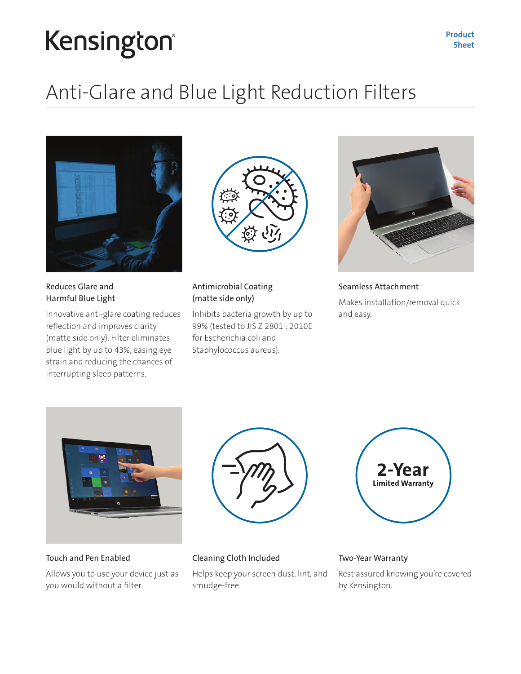## Kensington®

## Anti-Glare and Blue Light Reduction Filters



Reduces Glare and Harmful Blue Light

Innovative anti-glare coating reduces reflection and improves clarity (matte side only). Filter eliminates blue light by up to 43%, easing eye strain and reducing the chances of interrupting sleep patterns.



#### Antimicrobial Coating (matte side only)

Inhibits bacteria growth by up to 99% (tested to JIS Z 2801 : 2010E for Escherichia coli and Staphylococcus aureus).



Seamless Attachment Makes installation/removal quick and easy.



Touch and Pen Enabled

Allows you to use your device just as you would without a filter.





#### Cleaning Cloth Included

Helps keep your screen dust, lint, and smudge-free.

Two-Year Warranty

Rest assured knowing you're covered by Kensington.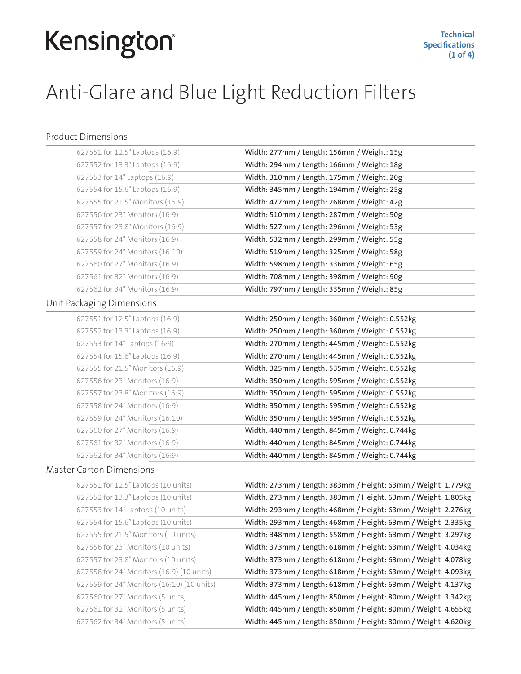## Kensington®

## Anti-Glare and Blue Light Reduction Filters

#### Product Dimensions

| 627551 for 12.5" Laptops (16:9)            | Width: 277mm / Length: 156mm / Weight: 15g                    |
|--------------------------------------------|---------------------------------------------------------------|
| 627552 for 13.3" Laptops (16:9)            | Width: 294mm / Length: 166mm / Weight: 18g                    |
| 627553 for 14" Laptops (16:9)              | Width: 310mm / Length: 175mm / Weight: 20g                    |
| 627554 for 15.6" Laptops (16:9)            | Width: 345mm / Length: 194mm / Weight: 25g                    |
| 627555 for 21.5" Monitors (16:9)           | Width: 477mm / Length: 268mm / Weight: 42g                    |
| 627556 for 23" Monitors (16:9)             | Width: 510mm / Length: 287mm / Weight: 50g                    |
| 627557 for 23.8" Monitors (16:9)           | Width: 527mm / Length: 296mm / Weight: 53g                    |
| 627558 for 24" Monitors (16:9)             | Width: 532mm / Length: 299mm / Weight: 55g                    |
| 627559 for 24" Monitors (16:10)            | Width: 519mm / Length: 325mm / Weight: 58g                    |
| 627560 for 27" Monitors (16:9)             | Width: 598mm / Length: 336mm / Weight: 65g                    |
| 627561 for 32" Monitors (16:9)             | Width: 708mm / Length: 398mm / Weight: 90g                    |
| 627562 for 34" Monitors (16:9)             | Width: 797mm / Length: 335mm / Weight: 85g                    |
| Unit Packaging Dimensions                  |                                                               |
| 627551 for 12.5" Laptops (16:9)            | Width: 250mm / Length: 360mm / Weight: 0.552kg                |
| 627552 for 13.3" Laptops (16:9)            | Width: 250mm / Length: 360mm / Weight: 0.552kg                |
| 627553 for 14" Laptops (16:9)              | Width: 270mm / Length: 445mm / Weight: 0.552kg                |
| 627554 for 15.6" Laptops (16:9)            | Width: 270mm / Length: 445mm / Weight: 0.552kg                |
| 627555 for 21.5" Monitors (16:9)           | Width: 325mm / Length: 535mm / Weight: 0.552kg                |
| 627556 for 23" Monitors (16:9)             | Width: 350mm / Length: 595mm / Weight: 0.552kg                |
| 627557 for 23.8" Monitors (16:9)           | Width: 350mm / Length: 595mm / Weight: 0.552kg                |
| 627558 for 24" Monitors (16:9)             | Width: 350mm / Length: 595mm / Weight: 0.552kg                |
| 627559 for 24" Monitors (16:10)            | Width: 350mm / Length: 595mm / Weight: 0.552kg                |
| 627560 for 27" Monitors (16:9)             | Width: 440mm / Length: 845mm / Weight: 0.744kg                |
| 627561 for 32" Monitors (16:9)             | Width: 440mm / Length: 845mm / Weight: 0.744kg                |
| 627562 for 34" Monitors (16:9)             | Width: 440mm / Length: 845mm / Weight: 0.744kg                |
| <b>Master Carton Dimensions</b>            |                                                               |
| 627551 for 12.5" Laptops (10 units)        | Width: 273mm / Length: 383mm / Height: 63mm / Weight: 1.779kg |
| 627552 for 13.3" Laptops (10 units)        | Width: 273mm / Length: 383mm / Height: 63mm / Weight: 1.805kg |
| 627553 for 14" Laptops (10 units)          | Width: 293mm / Length: 468mm / Height: 63mm / Weight: 2.276kg |
| 627554 for 15.6" Laptops (10 units)        | Width: 293mm / Length: 468mm / Height: 63mm / Weight: 2.335kg |
| 627555 for 21.5" Monitors (10 units)       | Width: 348mm / Length: 558mm / Height: 63mm / Weight: 3.297kg |
| 627556 for 23" Monitors (10 units)         | Width: 373mm / Length: 618mm / Height: 63mm / Weight: 4.034kg |
| 627557 for 23.8" Monitors (10 units)       | Width: 373mm / Length: 618mm / Height: 63mm / Weight: 4.078kg |
| 627558 for 24" Monitors (16:9) (10 units)  | Width: 373mm / Length: 618mm / Height: 63mm / Weight: 4.093kg |
| 627559 for 24" Monitors (16:10) (10 units) | Width: 373mm / Length: 618mm / Height: 63mm / Weight: 4.137kg |
| 627560 for 27" Monitors (5 units)          | Width: 445mm / Length: 850mm / Height: 80mm / Weight: 3.342kg |
| 627561 for 32" Monitors (5 units)          | Width: 445mm / Length: 850mm / Height: 80mm / Weight: 4.655kg |
| 627562 for 34" Monitors (5 units)          | Width: 445mm / Length: 850mm / Height: 80mm / Weight: 4.620kg |